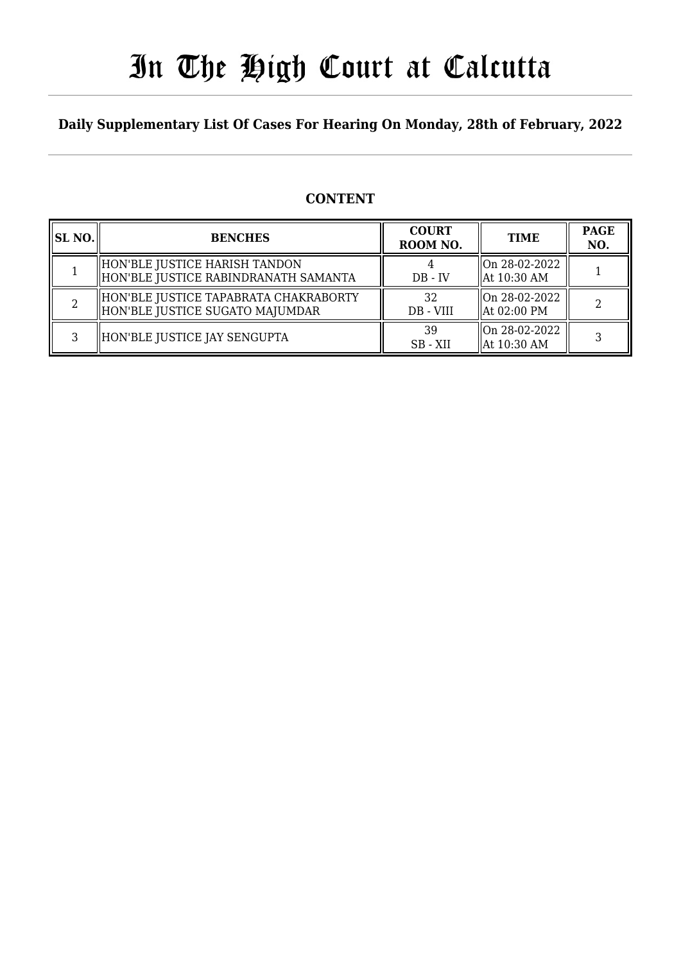# In The High Court at Calcutta

### **Daily Supplementary List Of Cases For Hearing On Monday, 28th of February, 2022**

### **CONTENT**

| <b>SL NO.</b> | <b>BENCHES</b>                                                           | <b>COURT</b><br>ROOM NO. | <b>TIME</b>                                | <b>PAGE</b><br>NO. |
|---------------|--------------------------------------------------------------------------|--------------------------|--------------------------------------------|--------------------|
|               | HON'BLE JUSTICE HARISH TANDON<br>HON'BLE JUSTICE RABINDRANATH SAMANTA    | $DB - IV$                | On 28-02-2022<br>$\parallel$ At 10:30 AM   |                    |
|               | HON'BLE JUSTICE TAPABRATA CHAKRABORTY<br>HON'BLE JUSTICE SUGATO MAJUMDAR | 32<br>DB - VIII          | llOn 28-02-2022<br>$\parallel$ At 02:00 PM |                    |
| ર             | HON'BLE JUSTICE JAY SENGUPTA                                             | 39<br>SB - XII           | llOn 28-02-2022<br>  At 10:30 AM           |                    |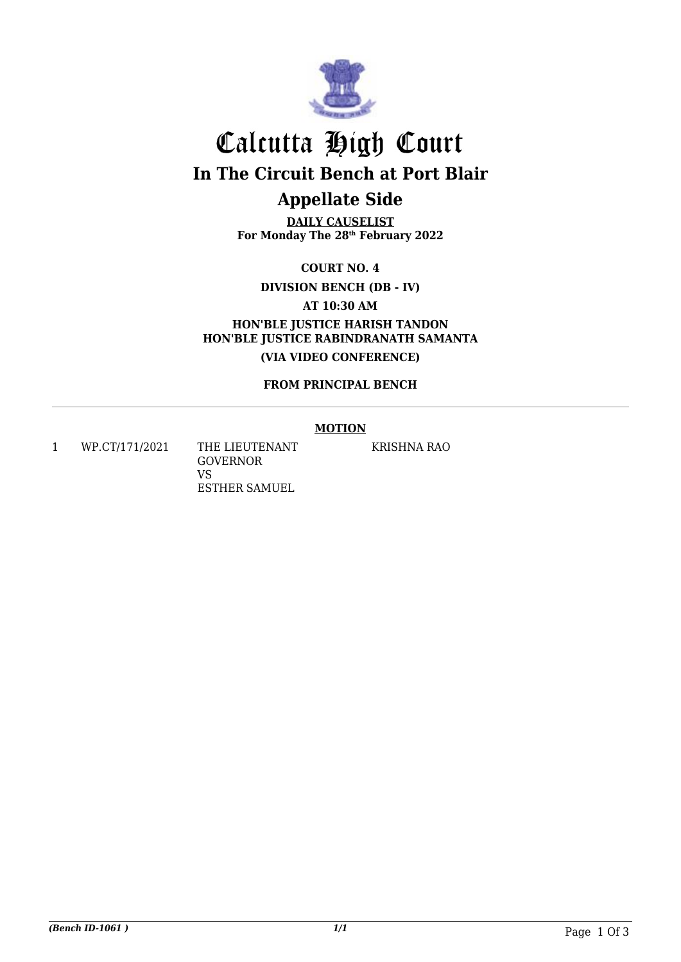

# Calcutta High Court **In The Circuit Bench at Port Blair Appellate Side**

**DAILY CAUSELIST For Monday The 28th February 2022**

**COURT NO. 4**

**DIVISION BENCH (DB - IV)**

**AT 10:30 AM**

**HON'BLE JUSTICE HARISH TANDON HON'BLE JUSTICE RABINDRANATH SAMANTA (VIA VIDEO CONFERENCE)**

**FROM PRINCIPAL BENCH**

#### **MOTION**

1 WP.CT/171/2021 THE LIEUTENANT

GOVERNOR VS ESTHER SAMUEL KRISHNA RAO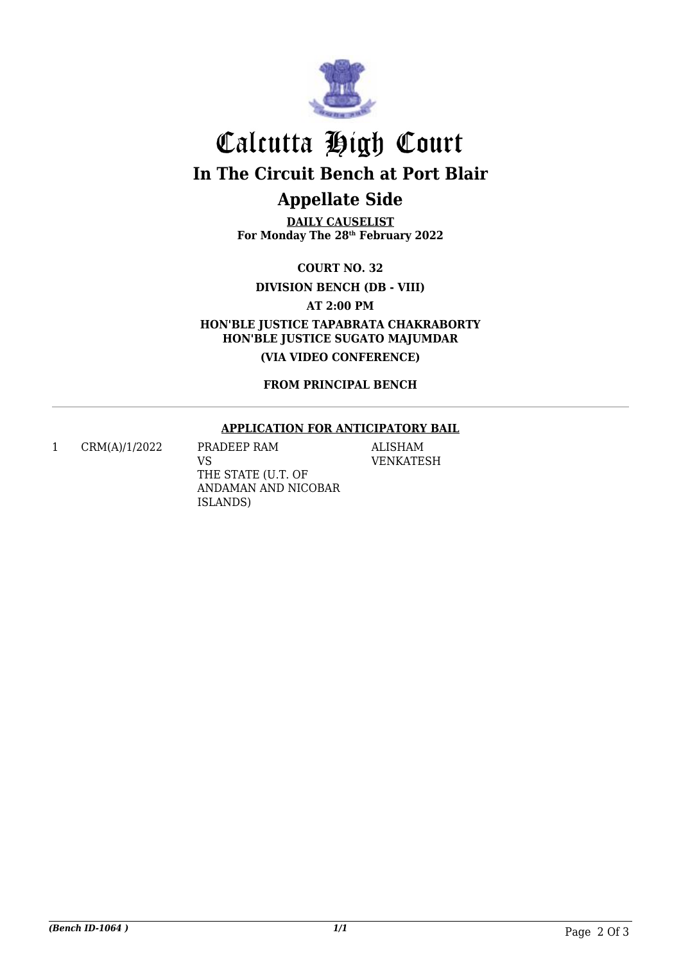

### Calcutta High Court **In The Circuit Bench at Port Blair Appellate Side**

**DAILY CAUSELIST For Monday The 28th February 2022**

**COURT NO. 32**

**DIVISION BENCH (DB - VIII)**

**AT 2:00 PM**

**HON'BLE JUSTICE TAPABRATA CHAKRABORTY HON'BLE JUSTICE SUGATO MAJUMDAR**

**(VIA VIDEO CONFERENCE)**

**FROM PRINCIPAL BENCH**

#### **APPLICATION FOR ANTICIPATORY BAIL**

1 CRM(A)/1/2022 PRADEEP RAM

VS THE STATE (U.T. OF ANDAMAN AND NICOBAR ISLANDS)

ALISHAM VENKATESH